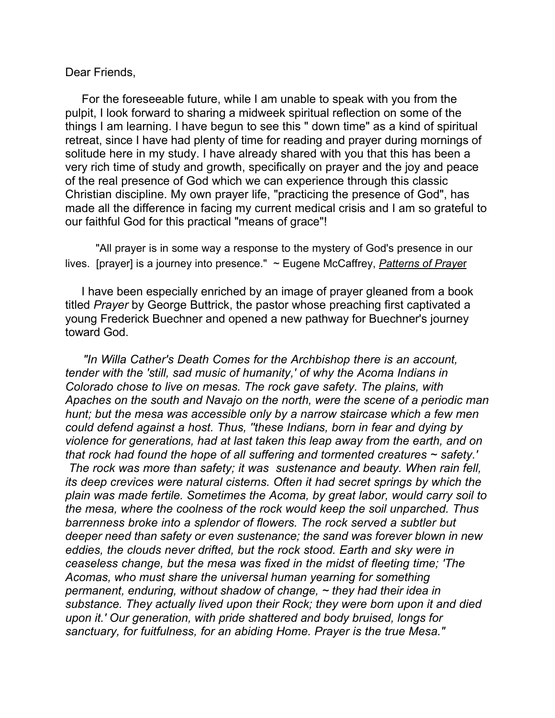## Dear Friends,

 For the foreseeable future, while I am unable to speak with you from the pulpit, I look forward to sharing a midweek spiritual reflection on some of the things I am learning. I have begun to see this " down time" as a kind of spiritual retreat, since I have had plenty of time for reading and prayer during mornings of solitude here in my study. I have already shared with you that this has been a very rich time of study and growth, specifically on prayer and the joy and peace of the real presence of God which we can experience through this classic Christian discipline. My own prayer life, "practicing the presence of God", has made all the difference in facing my current medical crisis and I am so grateful to our faithful God for this practical "means of grace"!

 "All prayer is in some way a response to the mystery of God's presence in our lives. [prayer] is a journey into presence." ~ Eugene McCaffrey, *Patterns of Praye*r

 I have been especially enriched by an image of prayer gleaned from a book titled *Prayer* by George Buttrick, the pastor whose preaching first captivated a young Frederick Buechner and opened a new pathway for Buechner's journey toward God.

 *"In Willa Cather's Death Comes for the Archbishop there is an account, tender with the 'still, sad music of humanity,' of why the Acoma Indians in Colorado chose to live on mesas. The rock gave safety. The plains, with Apaches on the south and Navajo on the north, were the scene of a periodic man hunt; but the mesa was accessible only by a narrow staircase which a few men could defend against a host. Thus, ''these Indians, born in fear and dying by violence for generations, had at last taken this leap away from the earth, and on that rock had found the hope of all suffering and tormented creatures ~ safety.'* 

*The rock was more than safety; it was sustenance and beauty. When rain fell, its deep crevices were natural cisterns. Often it had secret springs by which the plain was made fertile. Sometimes the Acoma, by great labor, would carry soil to the mesa, where the coolness of the rock would keep the soil unparched. Thus barrenness broke into a splendor of flowers. The rock served a subtler but deeper need than safety or even sustenance; the sand was forever blown in new eddies, the clouds never drifted, but the rock stood. Earth and sky were in ceaseless change, but the mesa was fixed in the midst of fleeting time; 'The Acomas, who must share the universal human yearning for something permanent, enduring, without shadow of change, ~ they had their idea in substance. They actually lived upon their Rock; they were born upon it and died upon it.' Our generation, with pride shattered and body bruised, longs for sanctuary, for fuitfulness, for an abiding Home. Prayer is the true Mesa."*